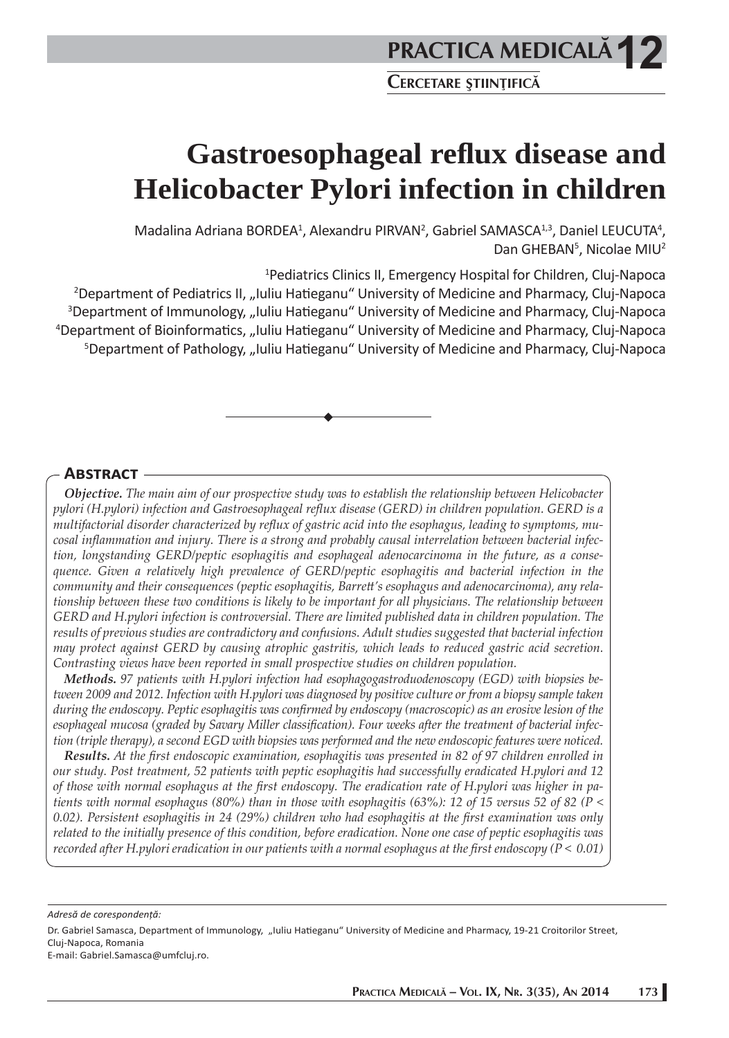**Gastroesophageal refl ux disease and Helicobacter Pylori infection in children**

Madalina Adriana BORDEA<sup>1</sup>, Alexandru PIRVAN<sup>2</sup>, Gabriel SAMASCA<sup>1,3</sup>, Daniel LEUCUTA<sup>4</sup>, Dan GHEBAN<sup>5</sup>, Nicolae MIU<sup>2</sup>

1 Pediatrics Clinics II, Emergency Hospital for Children, Cluj-Napoca

<sup>2</sup>Department of Pediatrics II, "Iuliu Hatieganu" University of Medicine and Pharmacy, Cluj-Napoca <sup>3</sup>Department of Immunology, "Iuliu Hatieganu" University of Medicine and Pharmacy, Cluj-Napoca <sup>4</sup>Department of Bioinformatics, "Iuliu Hatieganu" University of Medicine and Pharmacy, Cluj-Napoca <sup>5</sup>Department of Pathology, "Iuliu Hatieganu" University of Medicine and Pharmacy, Cluj-Napoca

# **ABSTRACT**

*Objective. The main aim of our prospective study was to establish the relationship between Helicobacter pylori (H.pylori) infection and Gastroesophageal refl ux disease (GERD) in children population. GERD is a*  multifactorial disorder characterized by reflux of gastric acid into the esophagus, leading to symptoms, mucosal inflammation and injury. There is a strong and probably causal interrelation between bacterial infec*tion, longstanding GERD/peptic esophagitis and esophageal adenocarcinoma in the future, as a consequence. Given a relatively high prevalence of GERD/peptic esophagitis and bacterial infection in the community and their consequences (peptic esophagitis, Barrett 's esophagus and adenocarcinoma), any relationship between these two conditions is likely to be important for all physicians. The relationship between GERD and H.pylori infection is controversial. There are limited published data in children population. The results of previous studies are contradictory and confusions. Adult studies suggested that bacterial infection may protect against GERD by causing atrophic gastritis, which leads to reduced gastric acid secretion. Contrasting views have been reported in small prospective studies on children population.* 

*Methods. 97 patients with H.pylori infection had esophagogastroduodenoscopy (EGD) with biopsies between 2009 and 2012. Infection with H.pylori was diagnosed by positive culture or from a biopsy sample taken during the endoscopy. Peptic esophagitis was confirmed by endoscopy (macroscopic) as an erosive lesion of the* esophageal mucosa (graded by Savary Miller classification). Four weeks after the treatment of bacterial infec*tion (triple therapy), a second EGD with biopsies was performed and the new endoscopic features were noticed.* 

**Results.** At the first endoscopic examination, esophagitis was presented in 82 of 97 children enrolled in *our study. Post treatment, 52 patients with peptic esophagitis had successfully eradicated H.pylori and 12*  of those with normal esophagus at the first endoscopy. The eradication rate of H.pylori was higher in pa*tients with normal esophagus (80%) than in those with esophagitis (63%): 12 of 15 versus 52 of 82 (P <*  0.02). Persistent esophagitis in 24 (29%) children who had esophagitis at the first examination was only *related to the initially presence of this condition, before eradication. None one case of peptic esophagitis was recorded after H.pylori eradication in our patients with a normal esophagus at the first endoscopy (* $P < 0.01$ *)* 

*Adresă de corespondenţă:* 

Dr. Gabriel Samasca, Department of Immunology, "Iuliu Hatieganu" University of Medicine and Pharmacy, 19-21 Croitorilor Street, Cluj-Napoca, Romania

E-mail: Gabriel.Samasca@umfcluj.ro.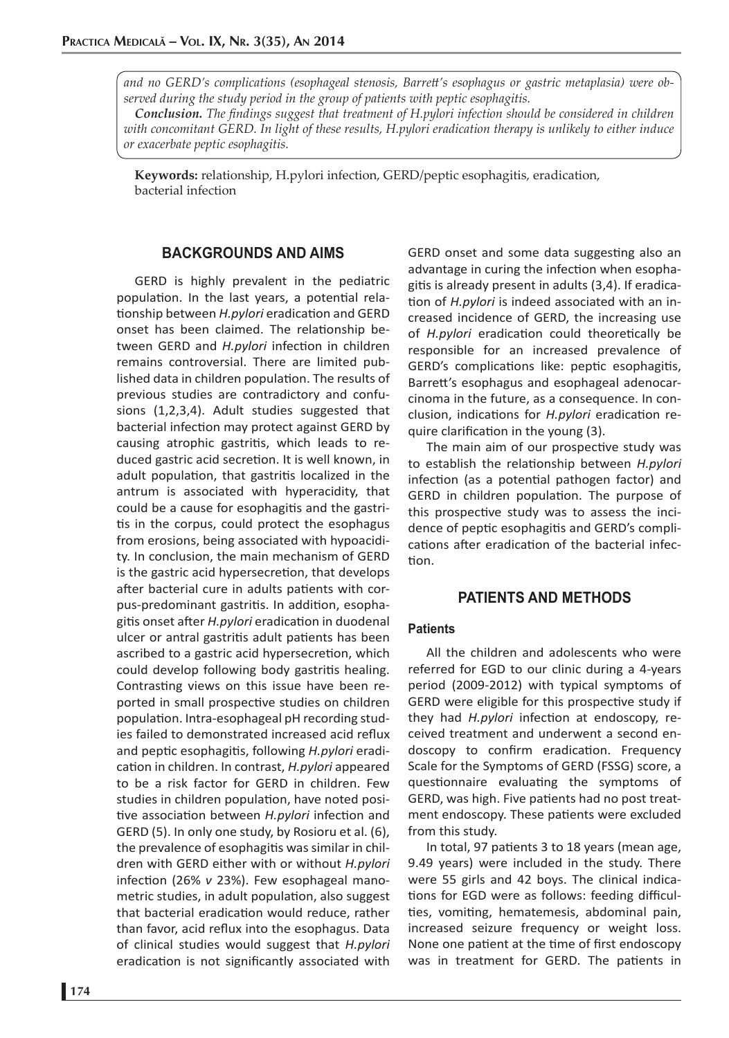*and no GERD's complications (esophageal stenosis, Barrett 's esophagus or gastric metaplasia) were observed during the study period in the group of patients with peptic esophagitis.* 

**Conclusion.** The findings suggest that treatment of H.pylori infection should be considered in children *with concomitant GERD. In light of these results, H.pylori eradication therapy is unlikely to either induce or exacerbate peptic esophagitis.* 

**Keywords:** relationship, H.pylori infection, GERD/peptic esophagitis, eradication, bacterial infection

## **BACKGROUNDS AND AIMS**

GERD is highly prevalent in the pediatric population. In the last years, a potential relationship between *H.pylori* eradication and GERD onset has been claimed. The relationship between GERD and *H.pylori* infection in children remains controversial. There are limited published data in children population. The results of previous studies are contradictory and confusions (1,2,3,4). Adult studies suggested that bacterial infection may protect against GERD by causing atrophic gastritis, which leads to reduced gastric acid secretion. It is well known, in adult population, that gastritis localized in the antrum is associated with hyperacidity, that could be a cause for esophagitis and the gastritis in the corpus, could protect the esophagus from erosions, being associated with hypoacidity. In conclusion, the main mechanism of GERD is the gastric acid hypersecretion, that develops after bacterial cure in adults patients with corpus-predominant gastritis. In addition, esophagitis onset after *H.pylori* eradication in duodenal ulcer or antral gastritis adult patients has been ascribed to a gastric acid hypersecretion, which could develop following body gastritis healing. Contrasting views on this issue have been reported in small prospective studies on children population. Intra-esophageal pH recording studies failed to demonstrated increased acid reflux and peptic esophagitis, following *H.pylori* eradication in children. In contrast, *H.pylori* appeared to be a risk factor for GERD in children. Few studies in children population, have noted positive association between *H.pylori* infection and GERD (5). In only one study, by Rosioru et al. (6), the prevalence of esophagitis was similar in children with GERD either with or without *H.pylori* infection (26% v 23%). Few esophageal manometric studies, in adult population, also suggest that bacterial eradication would reduce, rather than favor, acid reflux into the esophagus. Data of clinical studies would suggest that *H.pylori* eradication is not significantly associated with

GERD onset and some data suggesting also an advantage in curing the infection when esophagitis is already present in adults (3,4). If eradication of *H.pylori* is indeed associated with an increased incidence of GERD, the increasing use of *H.pylori* eradication could theoretically be responsible for an increased prevalence of GERD's complications like: peptic esophagitis, Barrett's esophagus and esophageal adenocarcinoma in the future, as a consequence. In conclusion, indications for *H.pylori* eradication require clarification in the young (3).

The main aim of our prospective study was to establish the relationship between *H.pylori* infection (as a potential pathogen factor) and GERD in children population. The purpose of this prospective study was to assess the incidence of peptic esophagitis and GERD's complications after eradication of the bacterial infection.

# **PATIENTS AND METHODS**

## **Patients**

All the children and adolescents who were referred for EGD to our clinic during a 4-years period (2009-2012) with typical symptoms of GERD were eligible for this prospective study if they had *H.pylori* infection at endoscopy, received treatment and underwent a second endoscopy to confirm eradication. Frequency Scale for the Symptoms of GERD (FSSG) score, a questionnaire evaluating the symptoms of GERD, was high. Five patients had no post treatment endoscopy. These patients were excluded from this study.

In total, 97 patients 3 to 18 years (mean age, 9.49 years) were included in the study. There were 55 girls and 42 boys. The clinical indications for EGD were as follows: feeding difficulties, vomiting, hematemesis, abdominal pain, increased seizure frequency or weight loss. None one patient at the time of first endoscopy was in treatment for GERD. The patients in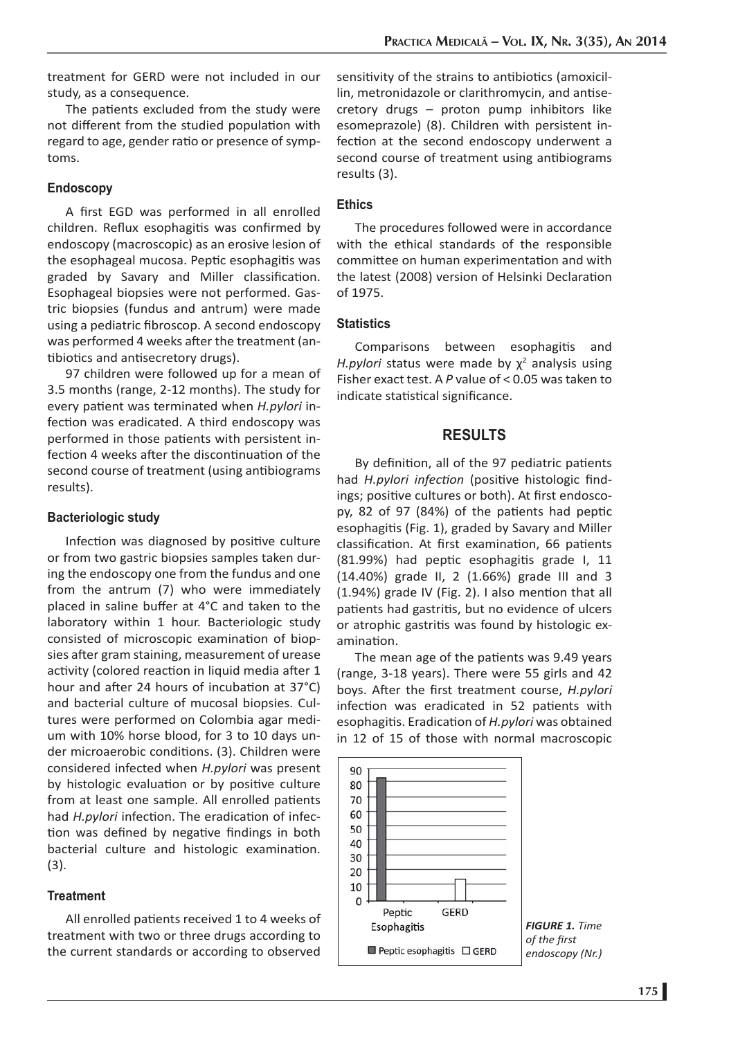treatment for GERD were not included in our study, as a consequence.

The patients excluded from the study were not different from the studied population with regard to age, gender ratio or presence of symptoms.

### **Endoscopy**

A first EGD was performed in all enrolled children. Reflux esophagitis was confirmed by endoscopy (macroscopic) as an erosive lesion of the esophageal mucosa. Peptic esophagitis was graded by Savary and Miller classification. Esophageal biopsies were not performed. Gastric biopsies (fundus and antrum) were made using a pediatric fibroscop. A second endoscopy was performed 4 weeks after the treatment (antibiotics and antisecretory drugs).

97 children were followed up for a mean of 3.5 months (range, 2-12 months). The study for every patient was terminated when *H.pylori* infection was eradicated. A third endoscopy was performed in those patients with persistent infection 4 weeks after the discontinuation of the second course of treatment (using antibiograms results).

#### **Bacteriologic study**

Infection was diagnosed by positive culture or from two gastric biopsies samples taken during the endoscopy one from the fundus and one from the antrum (7) who were immediately placed in saline buffer at 4°C and taken to the laboratory within 1 hour. Bacteriologic study consisted of microscopic examination of biopsies after gram staining, measurement of urease activity (colored reaction in liquid media after 1 hour and after 24 hours of incubation at 37°C) and bacterial culture of mucosal biopsies. Cultures were performed on Colombia agar medium with 10% horse blood, for 3 to 10 days under microaerobic conditions. (3). Children were considered infected when *H.pylori* was present by histologic evaluation or by positive culture from at least one sample. All enrolled patients had *H.pylori* infection. The eradication of infection was defined by negative findings in both bacterial culture and histologic examination. (3).

#### **Treatment**

All enrolled patients received 1 to 4 weeks of treatment with two or three drugs according to the current standards or according to observed sensitivity of the strains to antibiotics (amoxicillin, metronidazole or clarithromycin, and antisecretory drugs – proton pump inhibitors like esomeprazole) (8). Children with persistent infection at the second endoscopy underwent a second course of treatment using antibiograms results (3).

# **Ethics**

The procedures followed were in accordance with the ethical standards of the responsible committee on human experimentation and with the latest (2008) version of Helsinki Declaration of 1975.

### **Statistics**

Comparisons between esophagitis and H.pylori status were made by χ<sup>2</sup> analysis using Fisher exact test. A *P* value of < 0.05 was taken to indicate statistical significance.

# **RESULTS**

By definition, all of the 97 pediatric patients had *H.pylori infection* (positive histologic findings; positive cultures or both). At first endoscopy, 82 of 97 (84%) of the patients had peptic esophagitis (Fig. 1), graded by Savary and Miller classification. At first examination, 66 patients (81.99%) had peptic esophagitis grade I, 11 (14.40%) grade II, 2 (1.66%) grade III and 3  $(1.94%)$  grade IV (Fig. 2). I also mention that all patients had gastritis, but no evidence of ulcers or atrophic gastritis was found by histologic examination.

The mean age of the patients was 9.49 years (range, 3-18 years). There were 55 girls and 42 boys. After the first treatment course, *H.pylori* infection was eradicated in 52 patients with esophagitis. Eradication of *H.pylori* was obtained in 12 of 15 of those with normal macroscopic

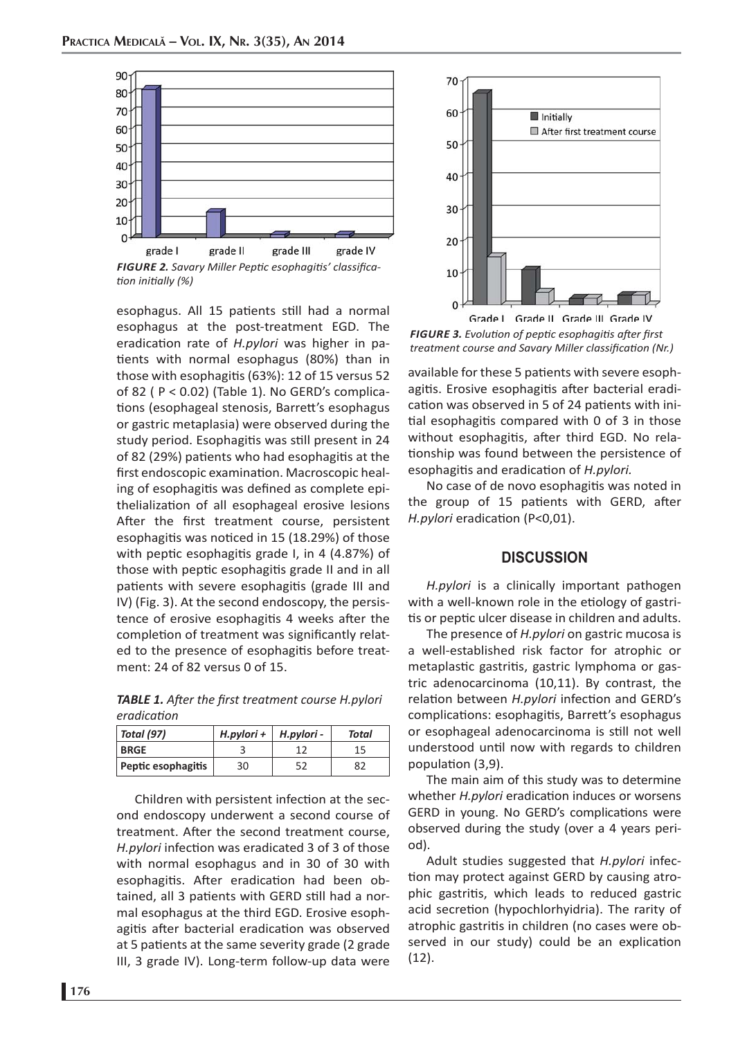

*FIGURE 2. Savary Miller Pepti c esophagiti s' classifi cati on initi ally (%)*

esophagus. All 15 patients still had a normal esophagus at the post-treatment EGD. The eradication rate of *H.pylori* was higher in patients with normal esophagus (80%) than in those with esophagitis (63%): 12 of 15 versus 52 of 82 ( P < 0.02) (Table 1). No GERD's complications (esophageal stenosis, Barrett's esophagus or gastric metaplasia) were observed during the study period. Esophagitis was still present in 24 of 82 (29%) patients who had esophagitis at the first endoscopic examination. Macroscopic healing of esophagitis was defined as complete epithelialization of all esophageal erosive lesions After the first treatment course, persistent esophagitis was noticed in 15 (18.29%) of those with peptic esophagitis grade I, in  $4$  (4.87%) of those with peptic esophagitis grade II and in all patients with severe esophagitis (grade III and IV) (Fig. 3). At the second endoscopy, the persistence of erosive esophagitis 4 weeks after the completion of treatment was significantly related to the presence of esophagitis before treatment: 24 of 82 versus 0 of 15.

**TABLE 1.** After the first treatment course H.pylori *eradicati on*

| $\vert$ Total (97) | H.pylori +   H.pylori - |    | Total |
|--------------------|-------------------------|----|-------|
| <b>BRGE</b>        |                         |    |       |
| Peptic esophagitis | 30                      | г٦ | 82    |

Children with persistent infection at the second endoscopy underwent a second course of treatment. After the second treatment course, H.pylori infection was eradicated 3 of 3 of those with normal esophagus and in 30 of 30 with esophagitis. After eradication had been obtained, all 3 patients with GERD still had a normal esophagus at the third EGD. Erosive esophagitis after bacterial eradication was observed at 5 patients at the same severity grade (2 grade III, 3 grade IV). Long-term follow-up data were



Grade | Grade II Grade III Grade IV *FIGURE 3. Evoluti on of pepti c esophagiti s aft er fi rst treatment course and Savary Miller classification (Nr.)* 

available for these 5 patients with severe esophagitis. Erosive esophagitis after bacterial eradication was observed in 5 of 24 patients with initial esophagitis compared with  $0$  of  $3$  in those without esophagitis, after third EGD. No relationship was found between the persistence of esophagitis and eradication of *H.pylori.* 

No case of de novo esophagitis was noted in the group of 15 patients with GERD, after *H.pylori* eradication (P<0,01).

# **DISCUSSION**

*H.pylori* is a clinically important pathogen with a well-known role in the etiology of gastritis or peptic ulcer disease in children and adults.

The presence of *H.pylori* on gastric mucosa is a well-established risk factor for atrophic or metaplastic gastritis, gastric lymphoma or gastric adenocarcinoma (10,11). By contrast, the relation between *H.pylori* infection and GERD's complications: esophagitis, Barrett's esophagus or esophageal adenocarcinoma is still not well understood until now with regards to children population (3,9).

The main aim of this study was to determine whether *H.pylori* eradication induces or worsens GERD in young. No GERD's complications were observed during the study (over a 4 years period).

Adult studies suggested that *H.pylori* infection may protect against GERD by causing atrophic gastritis, which leads to reduced gastric acid secretion (hypochlorhyidria). The rarity of atrophic gastritis in children (no cases were observed in our study) could be an explication (12).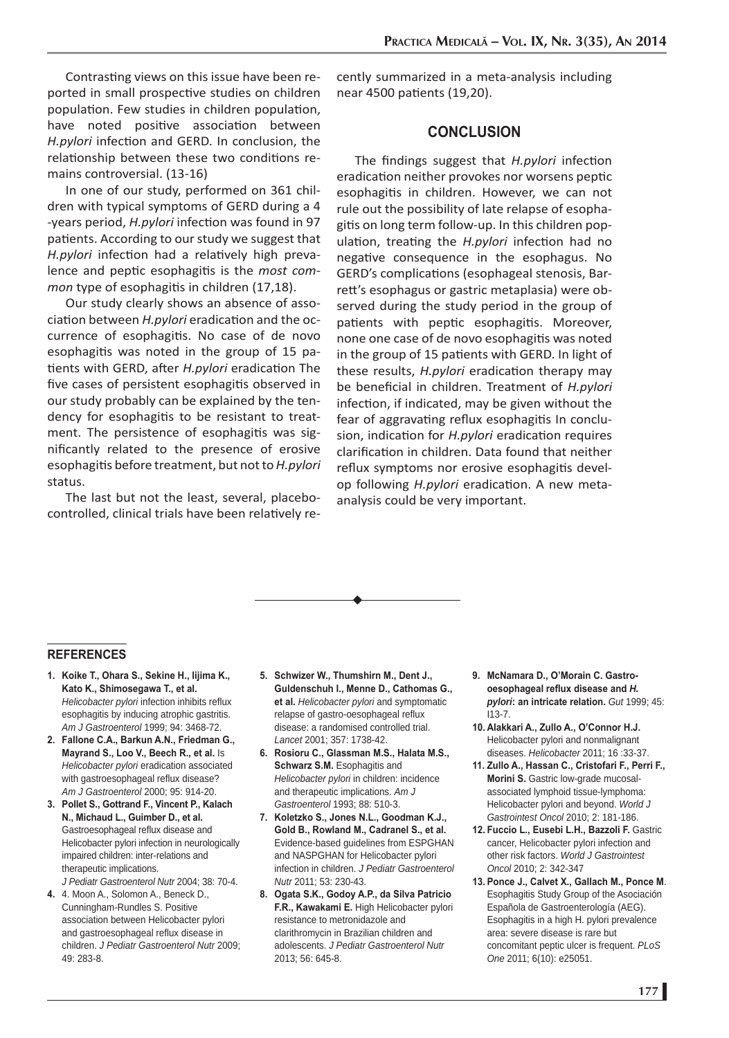Contrasting views on this issue have been reported in small prospective studies on children population. Few studies in children population, have noted positive association between *H.pylori* infection and GERD. In conclusion, the relationship between these two conditions remains controversial. (13-16)

In one of our study, performed on 361 children with typical symptoms of GERD during a 4 -years period, *H.pylori* infection was found in 97 patients. According to our study we suggest that *H.pylori* infection had a relatively high prevalence and peptic esophagitis is the *most common type of esophagitis in children (17,18).* 

Our study clearly shows an absence of association between *H.pylori* eradication and the occurrence of esophagitis. No case of de novo esophagitis was noted in the group of 15 patients with GERD, after *H.pylori* eradication The five cases of persistent esophagitis observed in our study probably can be explained by the tendency for esophagitis to be resistant to treatment. The persistence of esophagitis was significantly related to the presence of erosive esophagitis before treatment, but not to *H.pylori* status.

The last but not the least, several, placebocontrolled, clinical trials have been relatively recently summarized in a meta-analysis including near 4500 patients (19,20).

# **CONCLUSION**

The findings suggest that *H.pylori* infection eradication neither provokes nor worsens peptic esophagitis in children. However, we can not rule out the possibility of late relapse of esophagitis on long term follow-up. In this children population, treating the *H.pylori* infection had no negative consequence in the esophagus. No GERD's complications (esophageal stenosis, Barrett 's esophagus or gastric metaplasia) were observed during the study period in the group of patients with peptic esophagitis. Moreover, none one case of de novo esophagitis was noted in the group of 15 patients with GERD. In light of these results, *H.pylori* eradication therapy may be beneficial in children. Treatment of *H.pylori* infection, if indicated, may be given without the fear of aggravating reflux esophagitis In conclusion, indication for *H.pylori* eradication requires clarification in children. Data found that neither reflux symptoms nor erosive esophagitis develop following *H.pylori* eradication. A new metaanalysis could be very important.

$$
\overbrace{\hspace{4.5cm}}
$$

## **REFERENCES**

- **1. Koike T., Ohara S., Sekine H., Iijima K., Kato K., Shimosegawa T., et al.** Helicobacter pylori infection inhibits reflux esophagitis by inducing atrophic gastritis. *Am J Gastroenterol* 1999; 94: 3468-72.
- **2. Fallone C.A., Barkun A.N., Friedman G., Mayrand S., Loo V., Beech R., et al.** Is *Helicobacter pylori* eradication associated with gastroesophageal reflux disease? *Am J Gastroenterol* 2000; 95: 914-20.
- **3. Pollet S., Gottrand F., Vincent P., Kalach N., Michaud L., Guimber D., et al.**  Gastroesophageal reflux disease and Helicobacter pylori infection in neurologically impaired children: inter-relations and therapeutic implications.

*J Pediatr Gastroenterol Nutr* 2004; 38: 70-4.

**4.** 4. Moon A., Solomon A., Beneck D., Cunningham-Rundles S. Positive association between Helicobacter pylori and gastroesophageal reflux disease in children. *J Pediatr Gastroenterol Nutr* 2009; 49: 283-8.

- **5. Schwizer W., Thumshirn M., Dent J., Guldenschuh I., Menne D., Cathomas G., et al.** *Helicobacter pylori* and symptomatic relapse of gastro-oesophageal reflux disease: a randomised controlled trial. *Lancet* 2001; 357: 1738-42.
- **6. Rosioru C., Glassman M.S., Halata M.S., Schwarz S.M.** Esophagitis and *Helicobacter pylori* in children: incidence and therapeutic implications. *Am J Gastroenterol* 1993; 88: 510-3.
- **7. Koletzko S., Jones N.L., Goodman K.J., Gold B., Rowland M., Cadranel S., et al.**  Evidence-based guidelines from ESPGHAN and NASPGHAN for Helicobacter pylori infection in children. *J Pediatr Gastroenterol Nutr* 2011; 53: 230-43.
- **8. Ogata S.K., Godoy A.P., da Silva Patricio F.R., Kawakami E.** High Helicobacter pylori resistance to metronidazole and clarithromycin in Brazilian children and adolescents. *J Pediatr Gastroenterol Nutr* 2013; 56: 645-8.
- **9. McNamara D., O'Morain C. Gastrooesophageal reflux disease and H.** *pylori***: an intricate relation.** *Gut* 1999; 45: I13-7.
- **10. Alakkari A., Zullo A., O'Connor H.J.**  Helicobacter pylori and nonmalignant diseases. *Helicobacter* 2011; 16 :33-37.
- **11. Zullo A., Hassan C., Cristofari F., Perri F., Morini S.** Gastric low-grade mucosalassociated lymphoid tissue-lymphoma: Helicobacter pylori and beyond. *World J Gastrointest Oncol* 2010; 2: 181-186.
- **12. Fuccio L., Eusebi L.H., Bazzoli F.** Gastric cancer, Helicobacter pylori infection and other risk factors. *World J Gastrointest Oncol* 2010; 2: 342-347
- **13. Ponce J., Calvet X., Gallach M., Ponce M**. Esophagitis Study Group of the Asociación Española de Gastroenterología (AEG). Esophagitis in a high H. pylori prevalence area: severe disease is rare but concomitant peptic ulcer is frequent. *PLoS One* 2011; 6(10): e25051.